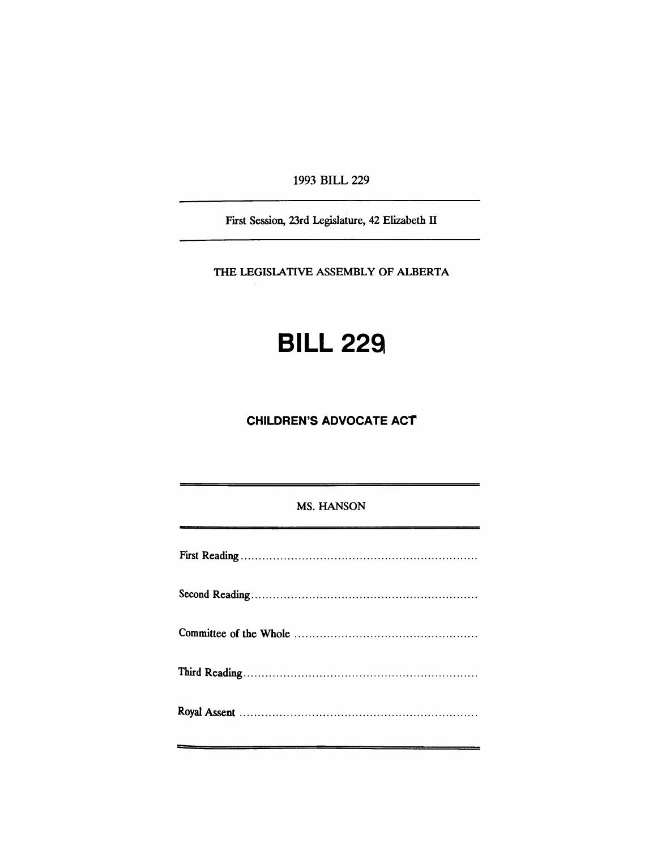1993 BILL 229

First Session, 23rd Legislature, 42 Elizabeth II

THE LEGISlATIVE ASSEMBLY OF ALBERTA

# **BILL 229**

## **CHILDREN'S ADVOCATE ACT**

### MS. HANSON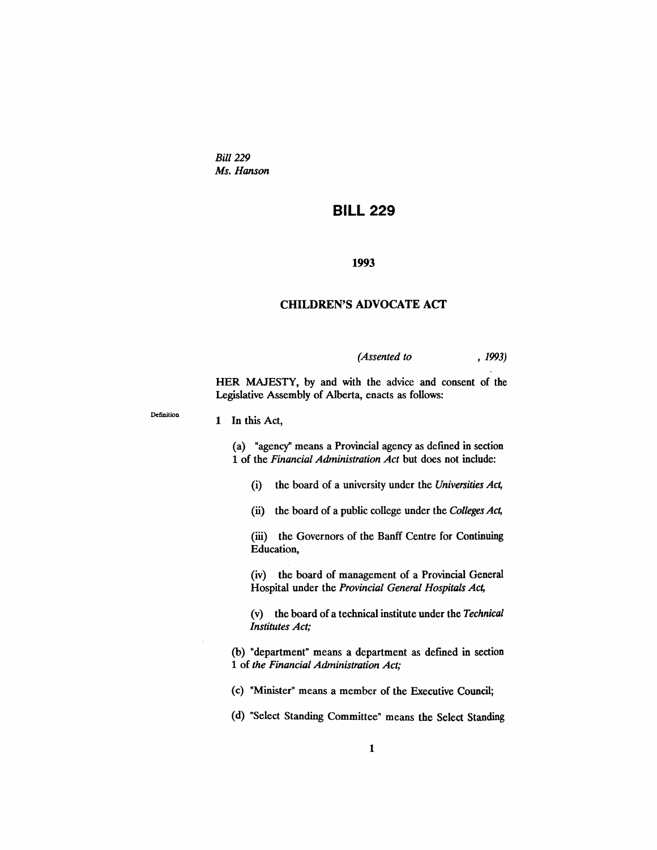*Bill* 229 *Ms. Hanson*

## **BILL 229**

#### 1993

#### CHILDREN'S ADVOCATE ACf

*(Assented to* , 1993)

HER MAJESTY, by and with the advice and consent of the Legislative Assembly of Alberta, enacts as follows:

Definition

#### 1 In this Act,

(a) "agency" means a Provincial agency as dermed in section 1 of the *Financial Administration Act* but does not include:

(i) the board of a university under the *Universities Act,*

(ii) the board of a public college under the *Colleges Act,*

(iii) the Governors of the Banff Centre for Continuing Education,

(iv) the board of management of a Provincial General Hospital under the *Provincial General Hospitals Act,*

(v) the board of a technical institute under the *Technical Institutes Act;*

(b) "department" means a department as defined in section 1 of *the Financial Administration Act;*

(c) "Minister" means a member of the Executive Council;

(d) "Select Standing Committee" means the Select Standing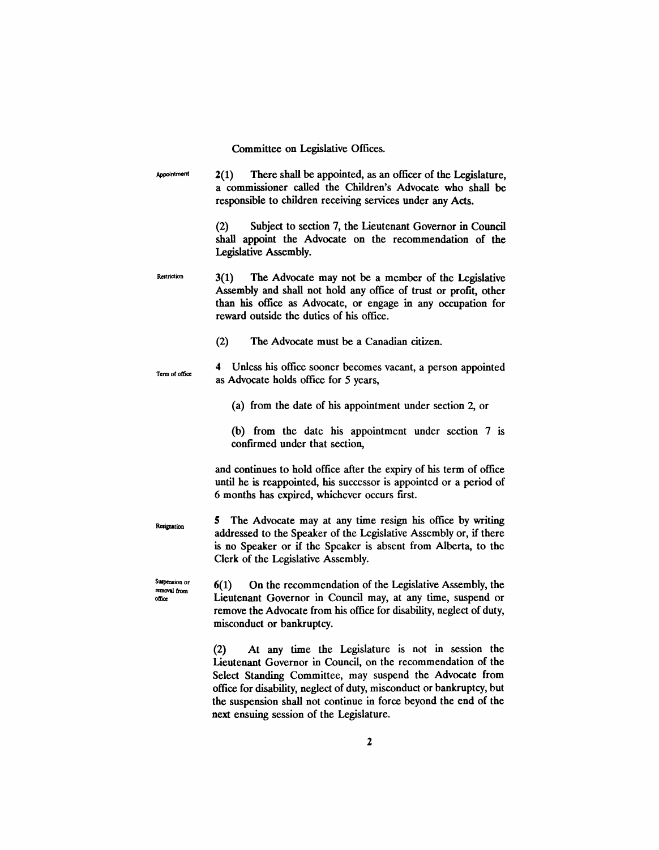Committee on Legislative Offices.

**Appointment** Restriction Term of office Resignation Suspension or removal from olfioe 2(1) There shall be appointed, as an officer of the Legislature, a commissioner called the Children's Advocate who shall be responsible to children receiving services under any Acts. (2) Subject to section 7, the Lieutenant Governor in Council shall appoint the Advocate on the recommendation of the Legislative Assembly. 3(1) The Advocate may not be a member of the Legislative Assembly and shall not hold any office of trust or profit, other than his office as Advocate, or engage in any occupation for reward outside the duties of his office. (2) The Advocate must be a Canadian citizen. 4 Unless his office sooner becomes vacant, a person appointed as Advocate holds office for 5 years, (a) from the date of his appointment under section 2, or (b) from the date his appointment under section  $7$  is confirmed under that section, and continues to hold office after the expiry of his term of office until he is reappointed, his successor is appointed or a period of 6 months has expired, whichever occurs first. 5 The Advocate may at any time resign his office by writing addressed to the Speaker of the Legislative Assembly or, if there is no Speaker or if the Speaker is absent from Alberta, to the Clerk of the Legislative Assembly. 6(1) On the recommendation of the Legislative Assembly, the Lieutenant Governor in Council may, at any time, suspend or remove the Advocate from his office for disability, neglect of duty, misconduct or bankruptcy. (2) At any time the Legislature is not in session the

Lieutenant Governor in Council, on the recommendation of the Select Standing Committee, may suspend the Advocate from office for disability, neglect of duty, misconduct or bankruptcy, but the suspension shall not continue in force beyond the end of the next ensuing session of the Legislature.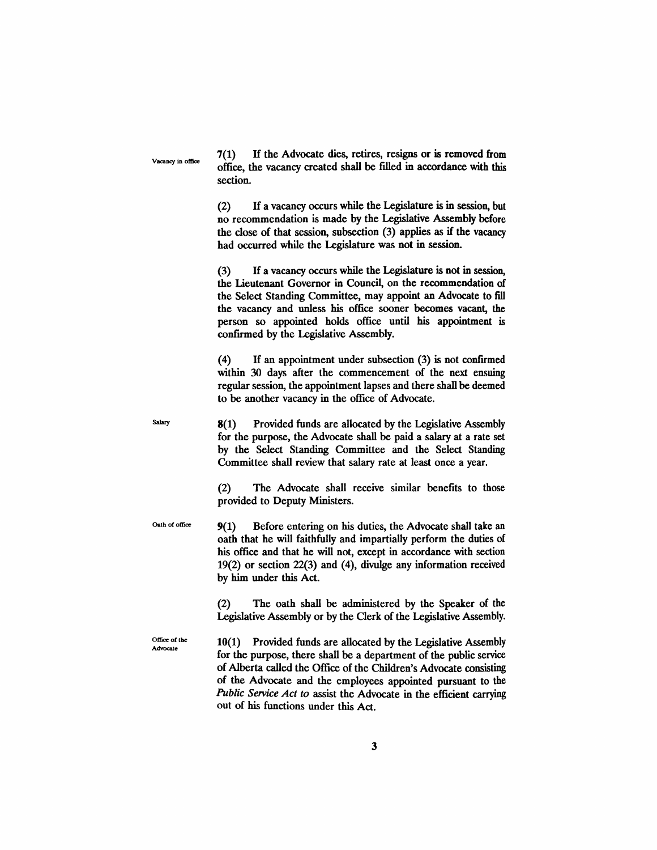Vacancy in office

7(1) H the Advocate dies, retires, resigns or is removed from office, the vacancy created shall be filled in accordance with this section.

(2) H a vacancy occurs while the Legislature is in session, but no recommendation is made by the Legislative Assembly before the close of that session, subsection (3) applies as if the vacancy had occurred while the Legislature was not in session.

(3) H a vacancy occurs while the Legislature is not in session, the Lieutenant Governor in Council, on the recommendation of the Select Standing Committee, may appoint an Advocate to fill the vacancy and unless his office sooner becomes vacant, the person so appointed holds office until his appointment is confirmed by the Legislative Assembly.

(4) If an appointment under subsection (3) is not confrrmed within 30 days after the commencement of the next ensuing regular session, the appointment lapses and there shall be deemed to be another vacancy in the office of Advocate.

8(1) Provided funds are allocated by the Legislative Assembly for the purpose, the Advocate shall be paid a salary at a rate set by the Select Standing Committee and the Select Standing Committee shall review that salary rate at least once a year.

(2) The Advocate shall receive similar benefits to those provided to Deputy Ministers.

Oath of office 9(1) Before entering on his duties, the Advocate shall take an oath that he will faithfully and impartially perform the duties of his office and that he will not, except in accordance with section 19(2) or section 22(3) and (4), divulge any information received by him under this Act.

> (2) The oath shall be administered by the Speaker of the Legislative Assembly or by the Clerk of the Legislative Assembly.

Office of the Advocate

**Salary** 

10(1) Provided funds are allocated by the Legislative Assembly for the purpose, there shall be a department of the public service of Alberta called the Office of the Children's Advocate consisting of the Advocate and the employees appointed pursuant to the *Public Service Act to* assist the Advocate in the efficient carrying out of his functions under this Act.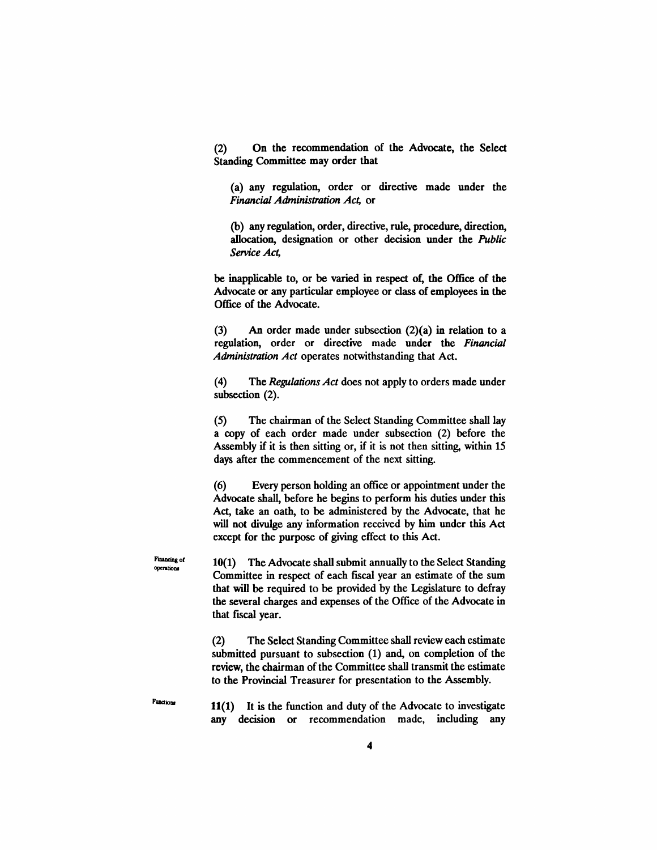(2) On the recommendation of the Advocate, the Select Standing Committee may order that

(a) any regulation, order or directive made under the *Financial Administration Act,* or

(b) any regulation, order, directive, rule, procedure, direction, allocation, designation or other decision under the *Public Service Act,*

be inapplicable to, or be varied in respect of, the Office of the Advocate or any particular employee or class of employees in the Office of the Advocate.

(3) An order made under subsection (2)(a) in relation to a regulation, order or directive made under the *Financial Administration Act* operates notwithstanding that Act.

(4) The *RegulationsAct* does not apply to orders made under subsection (2).

(5) The chairman of the Select Standing Committee shall lay a copy of each order made under subsection (2) before the Assembly if it is then sitting or, if it is not then sitting, within 15 days after the commencement of the next sitting.

(6) Every person holding an office or appointment under the Advocate shall, before he begins to perform his duties under this Act, take an oath, to be administered by the Advocate, that he will not divulge any information received by him under this Act except for the purpose of giving effect to this Act.

10(1) The Advocate shall submit annually to the Select Standing Committee in respect of each fIscal year an estimate of the sum that will be required to be provided by the Legislature to defray the several charges and expenses of the Office of the Advocate in that fiscal year.

(2) The Select Standing Committee shall review each estimate submitted pursuant to subsection (1) and, on completion of the review, the chairman of the Committee shall transmit the estimate to the Provincial Treasurer for presentation to the Assembly.

11(1) It is the function and duty of the Advocate to investigate any decision or recommendation made, including any

Financing of operations

**Function**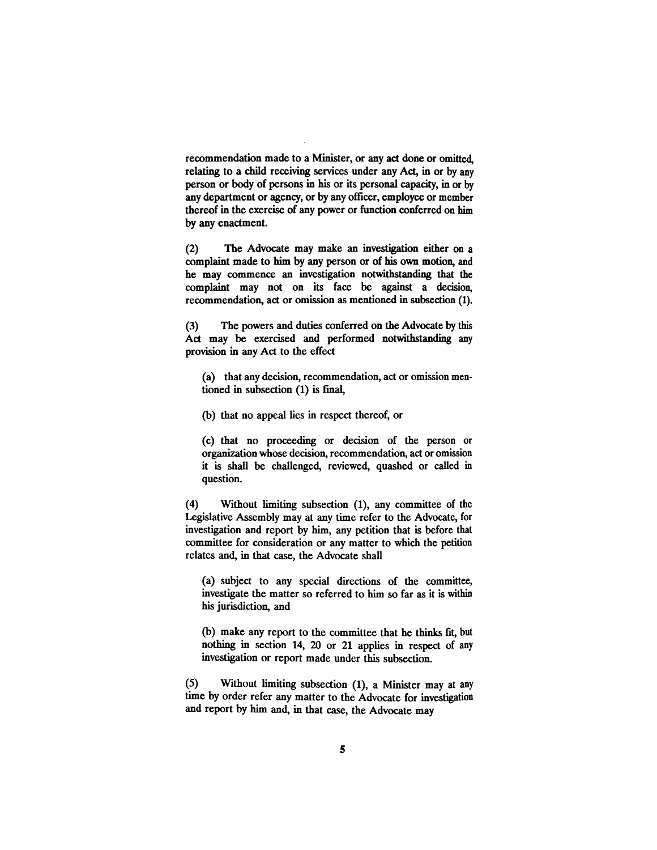recommendation made to a Minister, or any act done or omitted, relating to a child receiving services under any Act, in or by any person or body of persons in his or its personal capacity, in or by any department or agency, or by any officer, employee or member thereof in the exercise of any power or function conferred on him by any enactment.

(2) The Advocate may make an investigation either on a complaint made to him by any person or of his own motion, and he may commence an investigation notwithstanding that the complaint may not on its face be against a decision, recommendation, act or omission as mentioned in subsection (1).

(3) The powers and duties conferred on the Advocate by this Act may be exercised and performed notwithstanding any provision in any Act to the effect

(a) that any decision, recommendation, act or omission mentioned in subsection (1) is fmal,

(b) that no appeal lies in respect thereof, or

(c) that no proceeding or decision of the person or organization whose decision, recommendation, act or omission it is shall be challenged, reviewed, quashed or called in question.

(4) Without limiting subsection (1), any committee of the Legislative Assembly may at any time refer to the Advocate, for investigation and report by him, any petition that is before that committee for consideration or any matter to which the petition relates and, in that case, the Advocate shall

(a) subject to any special directions of the committee, investigate the matter so referred to him so far as it is within his jurisdiction, and

(b) make any report to the committee that he thinks fit, but nothing in section 14, 20 or 21 applies in respect of any investigation or report made under this subsection.

(5) Without limiting subsection (1), a Minister may at any time by order refer any matter to the Advocate for investigation and report by him and, in that case, the Advocate may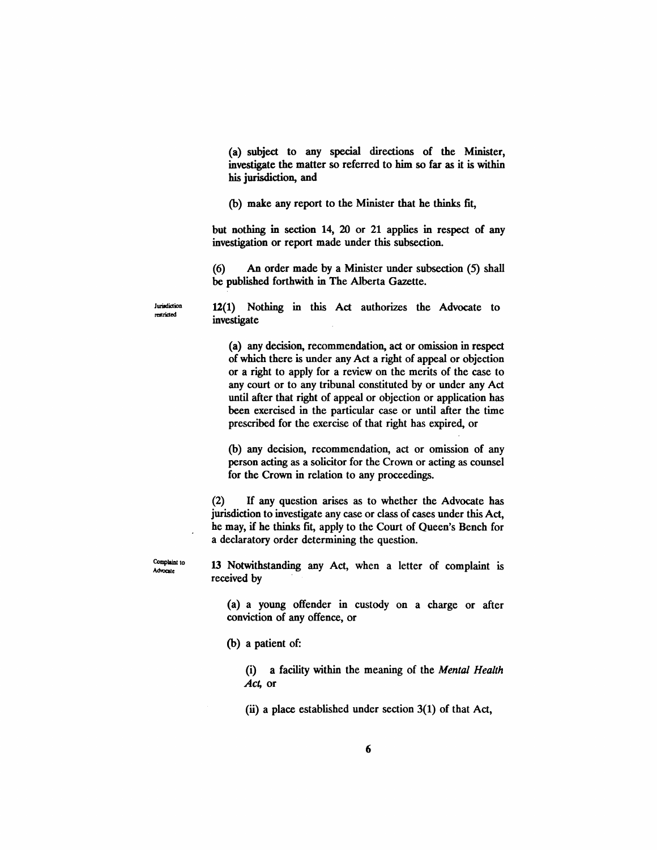(a) subject to any special directions of the Minister, investigate the matter so referred to him so far as it is within his jurisdiction, and

(b) make any report to the Minister that he thinks fit,

but nothing in section 14, 20 or 21 applies in respect of any investigation or report made under this subsection.

(6) An order made by a Minister under subsection (5) shall be published forthwith in The Alberta Gazette.

12(1) Nothing in this Act authorizes the Advocate to investigate

(a) any decision, recommendation, act or omission in respect of which there is under any Act a right of appeal or objection or a right to apply for a review on the merits of the case to any court or to any tribunal constituted by or under any Act until after that right of appeal or objection or application has been exercised in the particular case or until after the time prescribed for the exercise of that right has expired, or

(b) any decision, recommendation, act or omission of any person acting as a solicitor for the Crown or acting as counsel for the Crown in relation to any proceedings.

(2) If any question arises as to whether the Advocate has jurisdiction to investigate any case or class of cases under this Act, he may, if he thinks fit, apply to the Court of Queen's Bench for a declaratory order determining the question.

Complaint to Advocate

Jurisdiction restricted

> 13 Notwithstanding any Act, when a letter of complaint is received by

(a) a young offender in custody on a charge or after conviction of any offence, or

(b) a patient of:

(i) a facility within the meaning of the *Mental Health Act,* or

 $(ii)$  a place established under section 3(1) of that Act,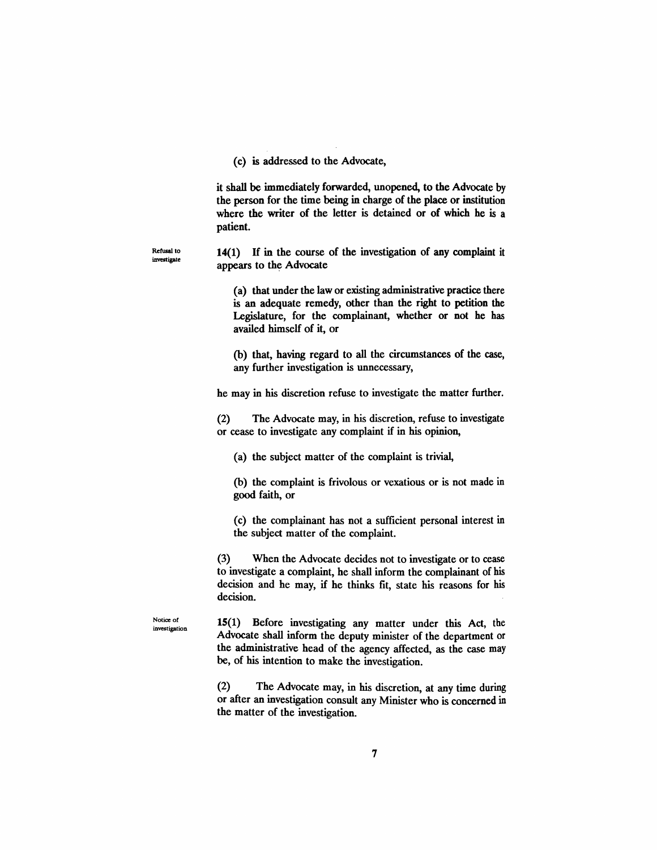(C) is addressed to the Advocate,

it shall be immediately forwarded, unopened, to the Advocate by the person for the time being in charge of the place or institution where the writer of the letter is detained or of which he is a patient.

Refusal to investigate 14(1) If in the course of the investigation of any complaint it appears to the Advocate

> (a) that under the law or existing administrative practice there is an adequate remedy, other than the right to petition the Legislature, for the complainant, whether or not he has availed himself of it, or

> (b) that, having regard to all the circumstances of the case, any further investigation is unnecessary,

he may in his discretion refuse to investigate the matter further.

(2) The Advocate may, in his discretion, refuse to investigate or cease to investigate any complaint if in his opinion,

(a) the subject matter of the complaint is trivial,

(b) the complaint is frivolous or vexatious or is not made in good faith, or

(c) the complainant has not a sufficient personal interest in the subject matter of the complaint.

(3) When the Advocate decides not to investigate or to cease to investigate a complaint, he shall inform the complainant of his decision and he may, if he thinks fit, state his reasons for his decision.

Notice of investigation 15(1) Before investigating any matter under this Act, the Advocate shall inform the deputy minister of the department or the administrative head of the agency affected, as the case may be, of his intention to make the investigation.

(2) The Advocate may, in his discretion, at any time during or after an investigation consult any Minister who is concerned in the matter of the investigation.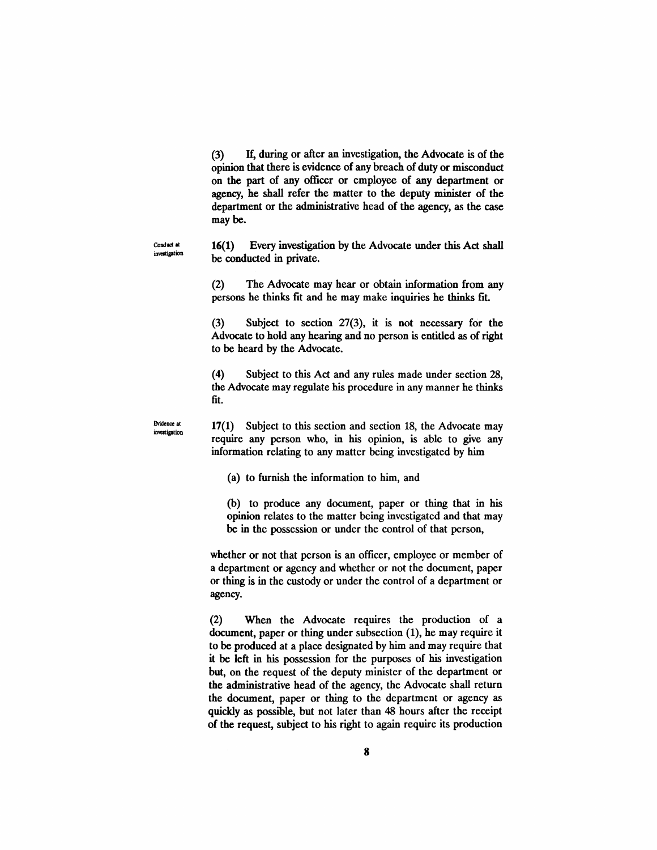(3) H, during or after an investigation, the Advocate is of the opinion that there is evidence of any breach of duty or misconduct on the part of any officer or employee of any department or agency, he shall refer the matter to the deputy minister of the department or the administrative head of the agency, as the case may be.

16(1) Every investigation by the Advocate under this Act shall be conducted in private.

(2) The Advocate may hear or obtain information from any persons he thinks fit and he may make inquiries he thinks fit.

(3) Subject to section 27(3), it is not necessary for the Advocate to hold any hearing and no person is entitled as of right to be heard by the Advocate.

(4) Subject to this Act and any rules made under section 28, the Advocate may regulate his procedure in any manner he thinks fit.

Evidence at investigation

Conduct all investigation

> 17(1) Subject to this section and section 18, the Advocate may require any person who, in his opinion, is able to give any information relating to any matter being investigated by him

(a) to furnish the information to him, and

(b) to produce any document, paper or thing that in his opinion relates to the matter being investigated and that may be in the possession or under the control of that person,

whether or not that person is an officer, employee or member of a department or agency and whether or not the document, paper or thing is in the custody or under the control of a department or agency.

(2) When the Advocate requires the production of a document, paper or thing under subsection (1), he may require it to be produced at a place designated by him and may require that it be left in his possession for the purposes of his investigation but, on the request of the deputy minister of the department or the administrative head of the agency, the Advocate shall return the document, paper or thing to the department or agency as quickly as possible, but not later than 48 hours after the receipt of the request, subject to his right to again require its production

8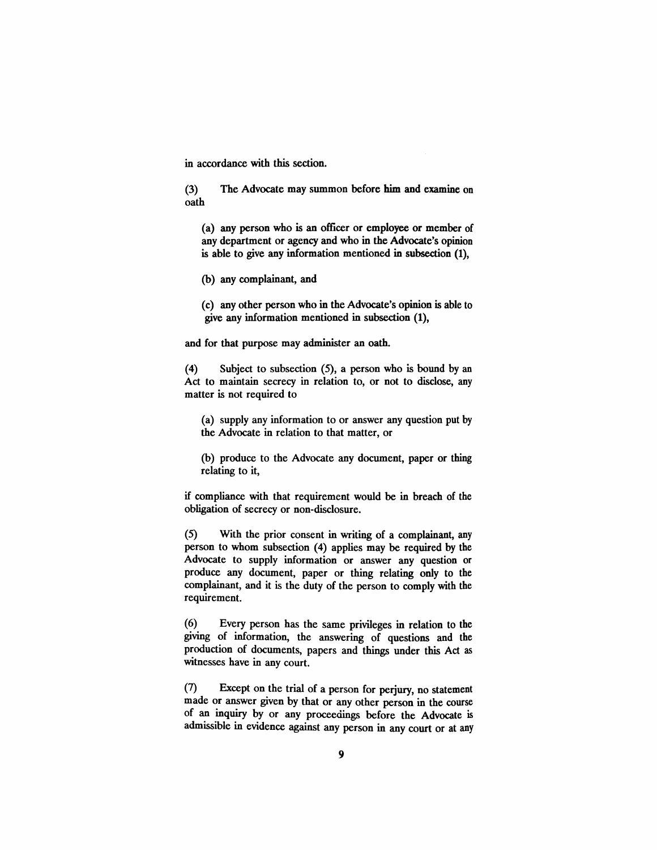in accordance with this section.

(3) The Advocate may summon before him and examine on oath

(a) any person who is an officer or employee or member of any department or agency and who in the Advocate's opinion is able to give any information mentioned in subsection (1),

(b) any complainant, and

(c) any other person who in the Advocate's opinion is able to give any information mentioned in subsection (1),

and for that purpose may administer an oath.

(4) Subject to subsection (5), a person who is bound by an Act to maintain secrecy in relation to, or not to disclose, any matter is not required to

(a) supply any information to or answer any question put by the Advocate in relation to that matter, or

(b) produce to the Advocate any document, paper or thing relating to it,

if compliance with that requirement would be in breach of the obligation of secrecy or non-disclosure.

(5) With the prior consent in writing of a complainant, any person to whom subsection (4) applies may be required by the Advocate to supply information or answer any question or produce any document, paper or thing relating only to the complainant, and it is the duty of the person to comply with the requirement.

(6) Every person has the same privileges in relation to the giving of information, the answering of questions and the production of documents, papers and things under this Act as witnesses have in any court.

(7) Except on the trial of a person for perjury, no statement made or answer given by that or any other person in the course of an inquiry by or any proceedings before the Advocate is admissible in evidence against any person in any court or at any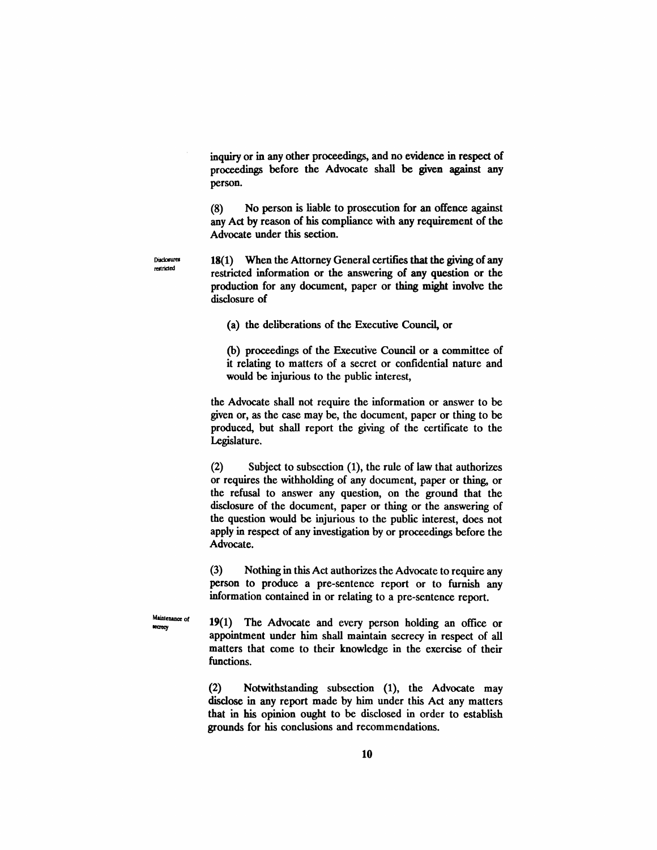inquiry or in any other proceedings, and no evidence in respect of proceedings before the Advocate shall be given against any person.

(8) No person is liable to prosecution for an offence against any Act by reason of his compliance with any requirement of the Advocate under this section.

Disclosurer metricied

18(1) When the Attorney General certifies that the giving of any restricted information or the answering of any question or the production for any document, paper or thing might involve the disclosure of

(a) the deliberations of the Executive Council, or

(b) proceedings of the Executive Council or a committee of it relating to matters of a secret or confidential nature and would be injurious to the public interest,

the Advocate shall not require the information or answer to be given or, as the case may be, the document, paper or thing to be produced, but shall report the giving of the certificate to the Legislature.

(2) Subject to subsection (1), the rule of law that authorizes or requires the withholding of any document, paper or thing, or the refusal to answer any question, on the ground that the disclosure of the document, paper or thing or the answering of the question would be injurious to the public interest, does not apply in respect of any investigation by or proceedings before the Advocate.

(3) Nothing in this Act authorizes the Advocate to require any person to produce a pre-sentence report or to furnish any information contained in or relating to a pre-sentence report.

Maintenance of IeCreCy

19(1) The Advocate and every person holding an office or appointment under him shall maintain secrecy in respect of all matters that come to their knowledge in the exercise of their functions.

(2) Notwithstanding subsection (1), the Advocate may disclose in any report made by him under this Act any matters that in his opinion ought to be disclosed in order to establish grounds for his conclusions and recommendations.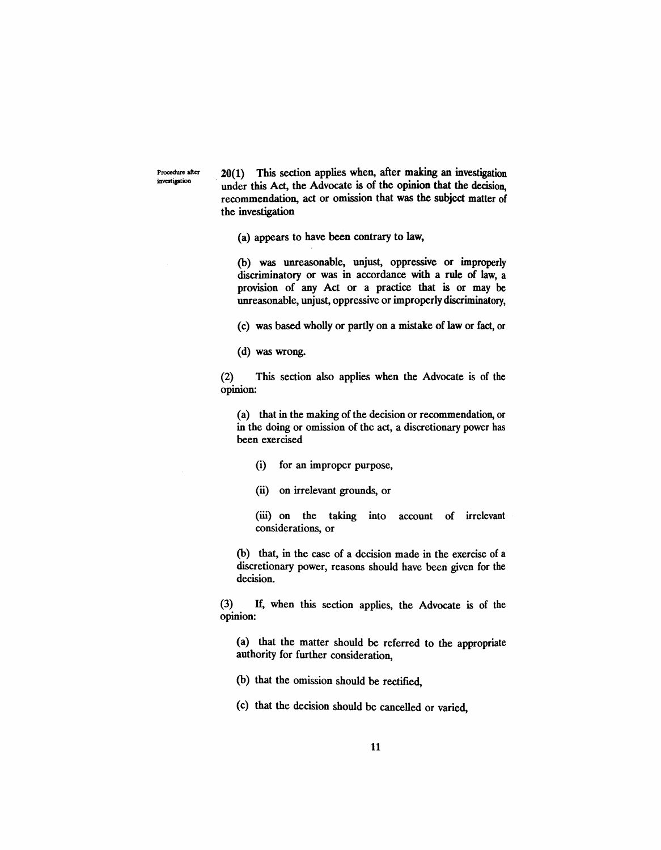Procedure after

Procedure after  $20(1)$  This section applies when, after making an investigation investigation under this Act, the Advocate is of the opinion that the decision, recommendation, act or omission that was the subject matter of the investigation

(a) appears to have been contrary to law,

(b) was unreasonable, unjust, oppressive or improperly discriminatory or was in accordance with a rule of law, a provision of any Act or a practice that is or may be unreasonable, unjust, oppressive or improperly discriminatory,

(c) was based wholly or partly on a mistake of law or fact, or

(d) was wrong.

(2) This section also applies when the Advocate is of the opinion:

(a) that in the making of the decision or recommendation, or in the doing or omission of the act, a discretionary power has been exercised

- (i) for an improper purpose,
- (ii) on irrelevant grounds, or

(iii) on the taking into account of irrelevant considerations, or

(b) that, in the case of a decision made in the exercise of a discretionary power, reasons should have been given for the decision.

(3) If, when this section applies, the Advocate is of the opinion:

(a) that the matter should be referred to the appropriate authority for further consideration,

- (b) that the omission should be rectified,
- (c) that the decision should be cancelled or varied,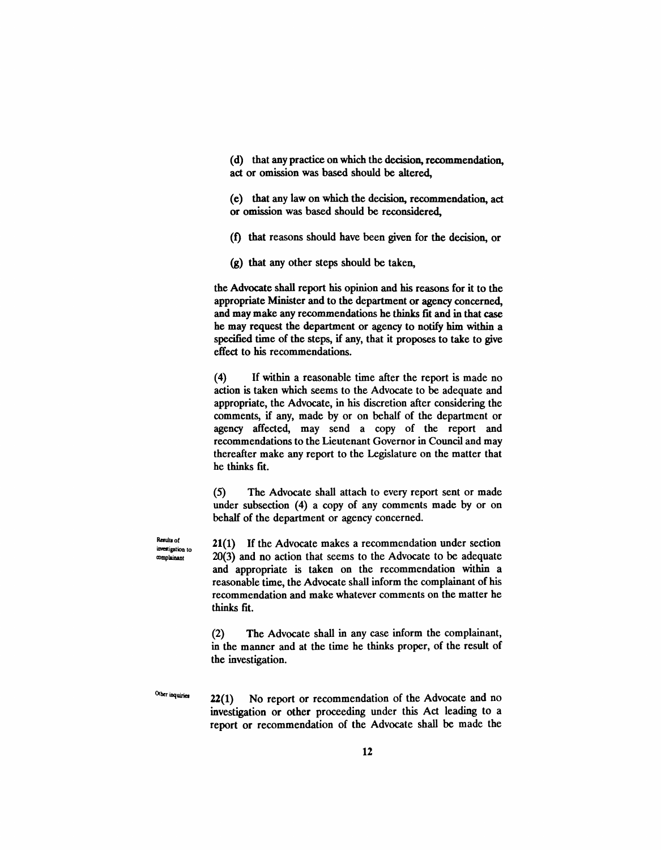(d) that any practice on which the decision, recommendation, act or omission was based should be altered.

(e) that any law on which the decision, recommendation, act or omission was based should be reconsidered,

(I) that reasons should have been given for the decision, or

(g) that any other steps should be taken,

the Advocate shall report his opinion and his reasons for it to the appropriate Minister and to the department or agency concerned, and may make any recommendations he thinks fit and in that case he may request the department or agency to notify him within a specified time of the steps, if any, that it proposes to take to give effect to his recommendations.

(4) If within a reasonable time after the report is made no action is taken which seems to the Advocate to be adequate and appropriate, the Advocate, in his discretion after considering the comments, if any, made by or on behalf of the department or agency affected, may send a copy of the report and recommendations to the Lieutenant Governor in Council and may thereafter make any report to the Legislature on the matter that he thinks fit.

(5) The Advocate shall attach to every report sent or made under subsection (4) a copy of any comments made by or on behalf of the department or agency concerned.

Results of investigation to a>mplainant

21(1) If the Advocate makes a recommendation under section 20(3) and no action that seems to the Advocate to be adequate and appropriate is taken on the recommendation within a reasonable time, the Advocate shall inform the complainant of his recommendation and make whatever comments on the matter he thinks fit.

(2) The Advocate shall in any case inform the complainant, in the manner and at the time he thinks proper, of the result of the investigation.

Other inquiries

22(1) No report or recommendation of the Advocate and no investigation or other proceeding under this Act leading to a report or recommendation of the Advocate shall be made the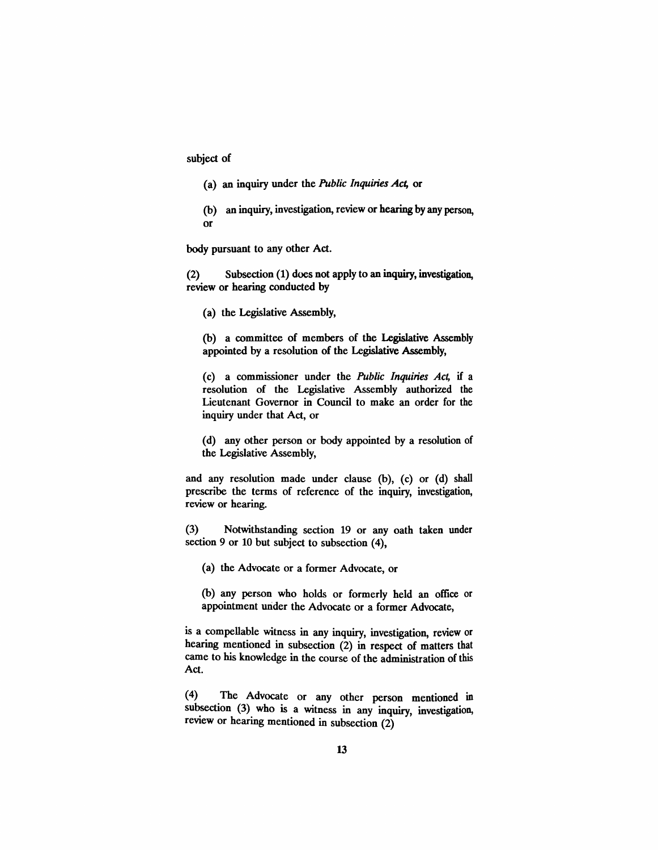subject of

- (a) an inquiry under the *Public Inquiries Act,* or
- (b) an inquiry, investigation, review or hearing by any person, or

body pursuant to any other Act.

(2) Subsection (1) does not apply to an inquiry, investigation, review or hearing conducted by

(a) the Legislative Assembly,

(b) a committee of members of the Legislative Assembly appointed by a resolution of the Legislative Assembly,

(c) a commissioner under the *Public Inquiries Act,* if a resolution of the Legislative Assembly authorized the Lieutenant Governor in Council to make an order for the inquiry under that Act, or

(d) any other person or body appointed by a resolution of the Legislative Assembly,

and any resolution made under clause (b), (c) or (d) shall prescribe the terms of reference of the inquiry, investigation, review or hearing.

(3) Notwithstanding section 19 or any oath taken under section 9 or 10 but subject to subsection (4),

(a) the Advocate or a former Advocate, or

(b) any person who holds or formerly held an office or appointment wider the Advocate or a former Advocate,

is a compellable witness in any inquiry, investigation, review or hearing mentioned in subsection (2) in respect of matters that came to his knowledge in the course of the administration of this Act.

(4) The Advocate or any other person mentioned in subsection (3) who is a witness in any inquiry, investigation, review or hearing mentioned in subsection (2)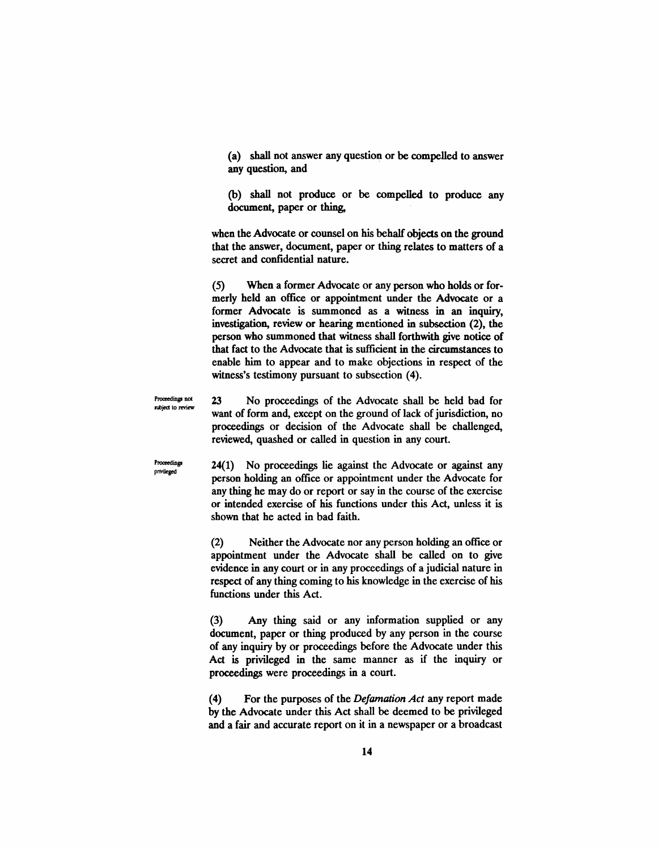(a) shall not answer any question or be compelled to answer any question, and

(b) shall not produce or be compelled to produce any document, paper or thing,

when the Advocate or counsel on his behalf objects on the ground that the answer, document, paper or thing relates to matters of a secret and confidential nature.

(5) When a former Advocate or any person who holds or formerly held an office or appointment under the Advocate or a former Advocate is summoned as a witness in an inquiry, investigation, review or hearing mentioned in subsection (2), the person who summoned that witness shall forthwith give notice of that fact to the Advocate that is sufficient in the circumstances to enable him. to appear and to make objections in respect of the witness's testimony pursuant to subsection (4).

Proceedings not subject to review 23 No proceedings of the Advocate shall be held bad for want of form and, except on the ground of lack of jurisdiction, no proceedings or decision of the Advocate shall be challenged, reviewed, quashed or called in question in any court.

Proceedings privileged

24(1) No proceedings lie against the Advocate or against any person holding an office or appointment under the Advocate for any thing he may do or report or say in the course of the exercise or intended exercise of his functions under this Act, unless it is shown that he acted in bad faith.

(2) Neither the Advocate nor any person holding an office or appointment under the Advocate shall be called on to give evidence in any court or in any proceedings of a judicial nature in respect of any thing coming to his knowledge in the exercise of his functions under this Act.

(3) Any thing said or any information supplied or any document, paper or thing produced by any person in the course of any inquiry by or proceedings before the Advocate under this Act is privileged in the same manner as if the inquiry or proceedings were proceedings in a court.

(4) For the purposes of the *Defamation Act* any report made by the Advocate under this Act shall be deemed to be privileged and a fair and accurate report on it in a newspaper or a broadcast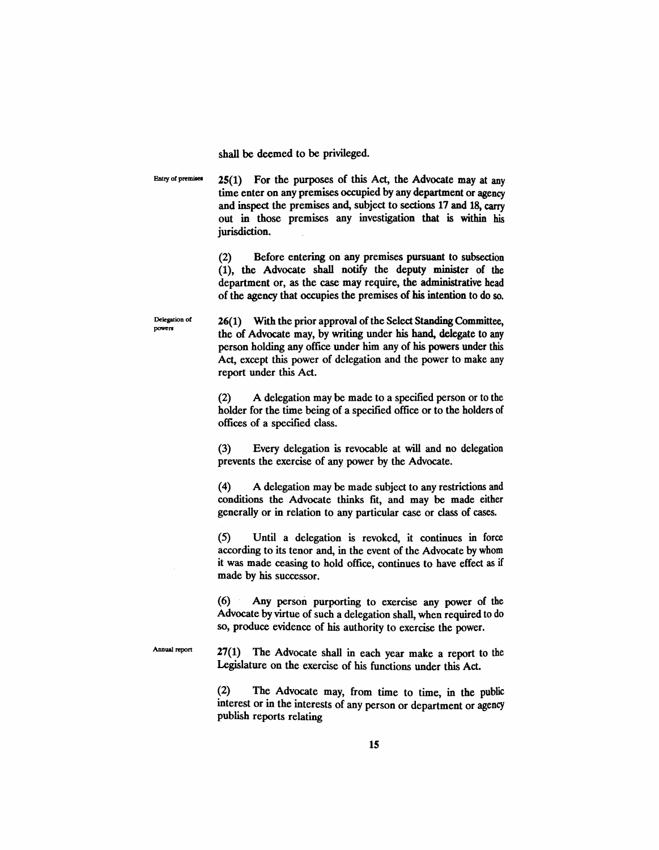shall be deemed to be privileged.

Entry of premises  $25(1)$  For the purposes of this Act, the Advocate may at any time enter on any premises occupied by any department or agency and inspect the premises and, subject to sections 17 and 18, carry out in those premises any investigation that is within his jurisdiction.

> (2) Before entering on any premises pursuant to subsection (1), the Advocate shall notify the deputy minister of the department or, as the case may require, the administrative head of the agency that occupies the premises of his intention to do so.

Delegation of powers 26(1) With the prior approval of the Select Standing Committee, the of Advocate may, by writing under his hand, delegate to any person holding any office under him any of his powers under this Act, except this power of delegation and the power to make any report under this Act.

> (2) A delegation may be made to a specified person or to the holder for the time being of a specified office or to the holders of offices of a specified class.

> (3) Every delegation is revocable at will and no delegation prevents the exercise of any power by the Advocate.

> (4) A delegation may be made subject to any restrictions and conditions the Advocate thinks fit, and may be made either generally or in relation to any particular case or class of cases.

> (5) Until a delegation is revoked, it continues in force according to its tenor and, in the event of the Advocate by whom it was made ceasing to hold office, continues to have effect as if made by his successor.

> (6) Any person purporting to exercise any power of the Advocate by virtue of such a delegation shall, when required to do so, produce evidence of his authority to exercise the power.

Annual report

27(1) The Advocate shall in each year make a report to the Legislature on the exercise of his functions under this Act.

(2) The Advocate may, from time to time, in the public interest or in the interests of any person or department or agency publish reports relating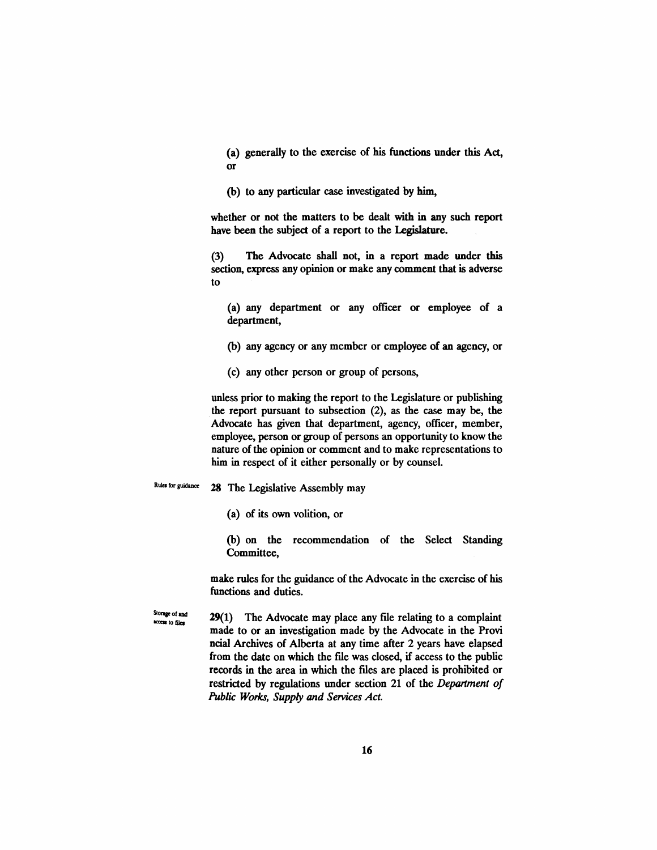(a) generally to the exercise of his functions under this Act, or

(b) to any particular case investigated by him,

whether or not the matters to be dealt with in any such report have been the subject of a report to the Legislature.

(3) The Advocate shall not, in a report made under this section, express any opinion or make any comment that is adverse to

(a) any department or any officer or employee of a department,

- (b) any agency or any member or employee of an agency, or
- (c) any other person or group of persons,

unless prior to making the report to the Legislature or publishing the report pursuant to subsection (2), as the case may be, the Advocate has given that department, agency, officer, member, employee, person or group of persons an opportunity to know the nature of the opinion or comment and to make representations to him in respect of it either personally or by counsel.

Rules for guidance 28 The Legislative Assembly may

(a) of its own volition, or

(b) on the recommendation of the Select Standing Committee,

make rules for the guidance of the Advocate in the exercise of his functions and duties.

Storage of and Norther of and **29(1)** The Advocate may place any file relating to a complaint made to or an investigation made by the Advocate in the Provi ncial Archives of Alberta at any time after 2 years have elapsed from the date on which the file was closed, if access to the public records in the area in which the files are placed is prohibited or restricted by regulations under section 21 of the *Department of Public Woria, Supply and Services Act.*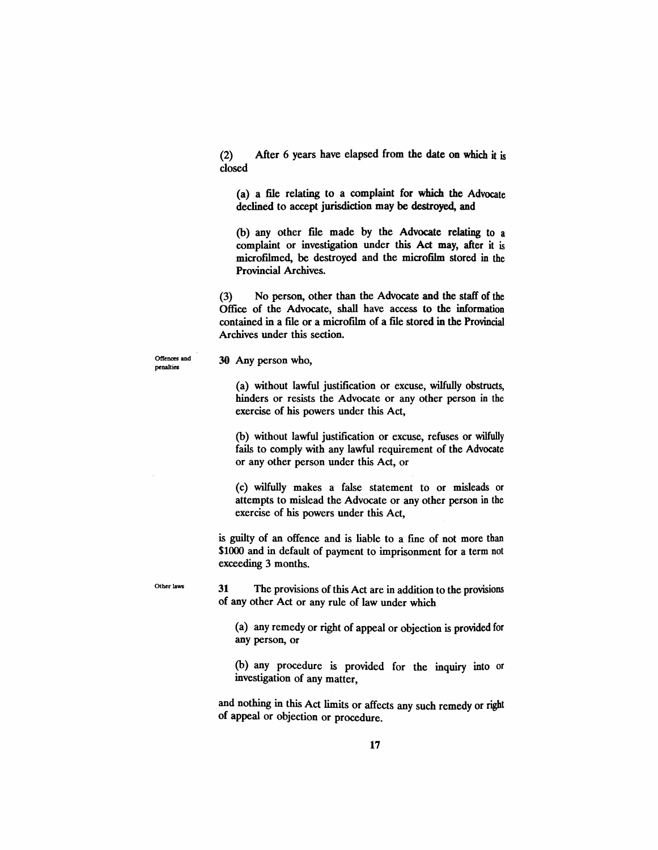(2) After 6 years have elapsed from the date on which it is closed

(a) a file relating to a complaint for which the Advocate declined to accept jurisdiction may be destroyed, and

(b) any other file made by the Advocate relating to a complaint or investigation under this Act may, after it is microftlmed, be destroyed and the microfilm stored in the Provincial Archives.

(3) No person, other than the Advocate and the staff of the Office of the Advocate, shall have access to the information contained in a file or a microftlm of a file stored in the Provincial Archives under this section.

Offences and penalties

#### 30 Any person who,

(a) without lawful justification or excuse, wilfully obstructs, hinders or resists the Advocate or any other person in the exercise of his powers under this Act,

(b) without lawful justification or excuse, refuses or wilfully fails to comply with any lawful requirement of the Advocate or any other person under this Act, or

(c) wilfully makes a false statement to or misleads or attempts to mislead the Advocate or any other person in the exercise of his powers under this Act,

is guilty of an offence and is liable to a fine of not more than \$1000 and in default of payment to imprisonment for a term not exceeding 3 months.

Other laws

31 The provisions of this Act are in addition to the provisions of any other Act or any rule of law under which

(a) any remedy or right of appeal or objection is provided for any person, or

(b) any procedure is provided for the inquiry into or investigation of any matter,

and nothing in this Act limits or affects any such remedy or right of appeal or objection or procedure.